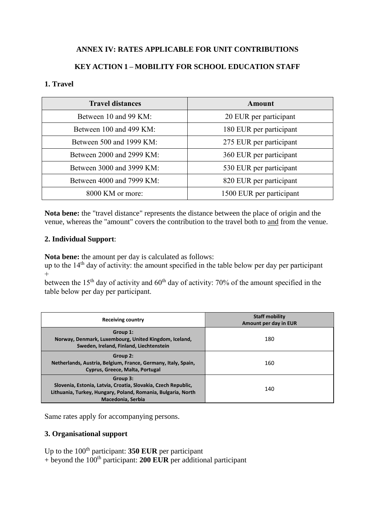# **ANNEX IV: RATES APPLICABLE FOR UNIT CONTRIBUTIONS**

# **KEY ACTION 1 – MOBILITY FOR SCHOOL EDUCATION STAFF**

#### **1. Travel**

| <b>Travel distances</b>   | Amount                   |
|---------------------------|--------------------------|
| Between 10 and 99 KM:     | 20 EUR per participant   |
| Between 100 and 499 KM:   | 180 EUR per participant  |
| Between 500 and 1999 KM:  | 275 EUR per participant  |
| Between 2000 and 2999 KM: | 360 EUR per participant  |
| Between 3000 and 3999 KM: | 530 EUR per participant  |
| Between 4000 and 7999 KM: | 820 EUR per participant  |
| 8000 KM or more:          | 1500 EUR per participant |

**Nota bene:** the "travel distance" represents the distance between the place of origin and the venue, whereas the "amount" covers the contribution to the travel both to and from the venue.

#### **2. Individual Support**:

**Nota bene:** the amount per day is calculated as follows:

up to the  $14<sup>th</sup>$  day of activity: the amount specified in the table below per day per participant  $+$ 

between the  $15<sup>th</sup>$  day of activity and  $60<sup>th</sup>$  day of activity: 70% of the amount specified in the table below per day per participant.

| <b>Receiving country</b>                                                                                                                                       | <b>Staff mobility</b><br>Amount per day in EUR |
|----------------------------------------------------------------------------------------------------------------------------------------------------------------|------------------------------------------------|
| Group 1:<br>Norway, Denmark, Luxembourg, United Kingdom, Iceland,<br>Sweden, Ireland, Finland, Liechtenstein                                                   | 180                                            |
| Group 2:<br>Netherlands, Austria, Belgium, France, Germany, Italy, Spain,<br>Cyprus, Greece, Malta, Portugal                                                   | 160                                            |
| Group 3:<br>Slovenia, Estonia, Latvia, Croatia, Slovakia, Czech Republic,<br>Lithuania, Turkey, Hungary, Poland, Romania, Bulgaria, North<br>Macedonia, Serbia | 140                                            |

Same rates apply for accompanying persons.

### **3. Organisational support**

Up to the 100<sup>th</sup> participant: **350 EUR** per participant  $+$  beyond the 100<sup>th</sup> participant: **200 EUR** per additional participant